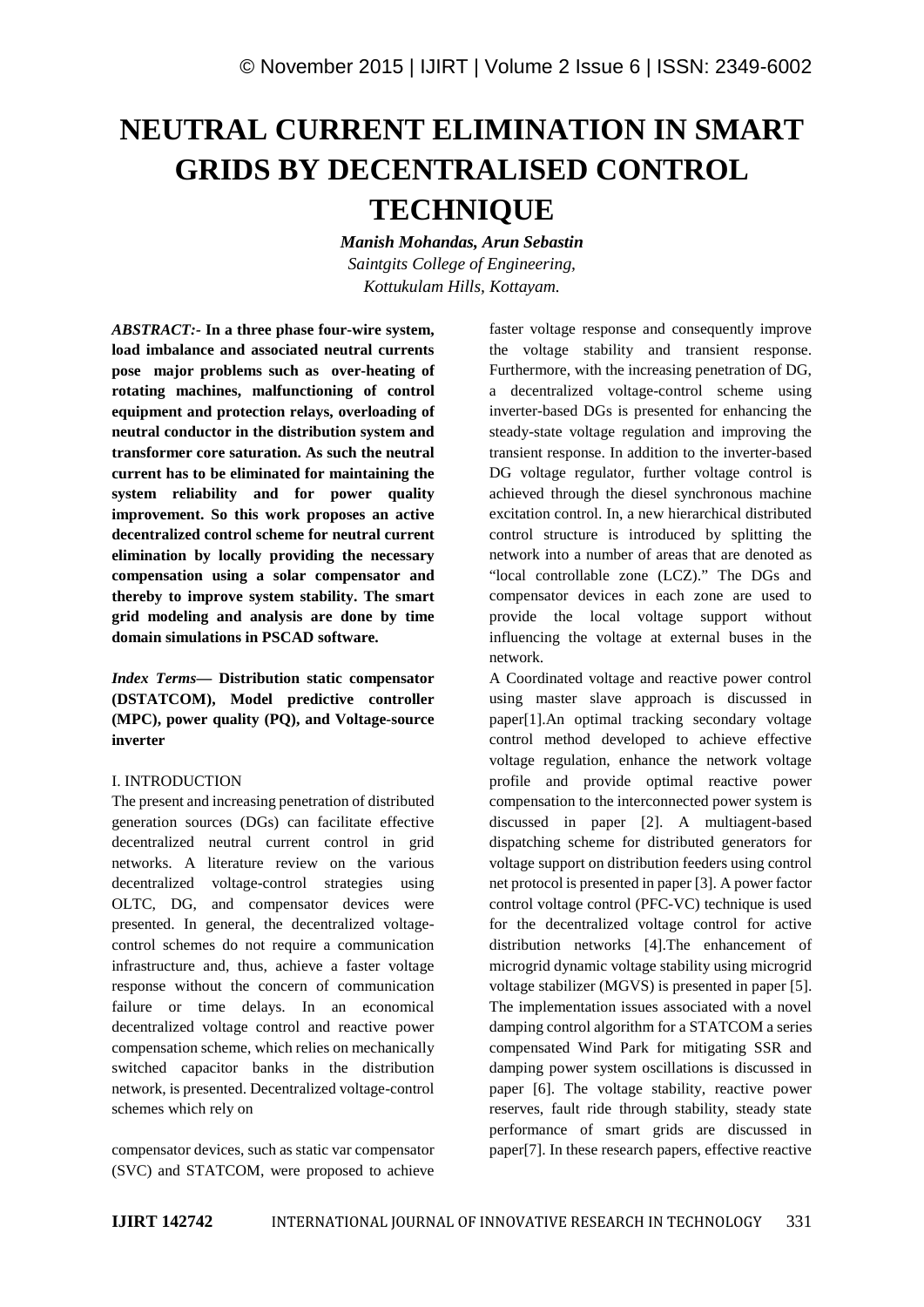# **NEUTRAL CURRENT ELIMINATION IN SMART GRIDS BY DECENTRALISED CONTROL TECHNIQUE**

*Manish Mohandas, Arun Sebastin Saintgits College of Engineering, Kottukulam Hills, Kottayam.*

*ABSTRACT:-* **In a three phase four-wire system, load imbalance and associated neutral currents pose major problems such as over-heating of rotating machines, malfunctioning of control equipment and protection relays, overloading of neutral conductor in the distribution system and transformer core saturation. As such the neutral current has to be eliminated for maintaining the system reliability and for power quality improvement. So this work proposes an active decentralized control scheme for neutral current elimination by locally providing the necessary compensation using a solar compensator and thereby to improve system stability. The smart grid modeling and analysis are done by time domain simulations in PSCAD software.**

*Index Terms***— Distribution static compensator (DSTATCOM), Model predictive controller (MPC), power quality (PQ), and Voltage-source inverter**

## I. INTRODUCTION

The present and increasing penetration of distributed generation sources (DGs) can facilitate effective decentralized neutral current control in grid networks. A literature review on the various decentralized voltage-control strategies using OLTC, DG, and compensator devices were presented. In general, the decentralized voltage control schemes do not require a communication infrastructure and, thus, achieve a faster voltage response without the concern of communication failure or time delays. In an economical decentralized voltage control and reactive power compensation scheme, which relies on mechanically switched capacitor banks in the distribution network, is presented. Decentralized voltage-control schemes which rely on

compensator devices, such as static var compensator (SVC) and STATCOM, were proposed to achieve faster voltage response and consequently improve the voltage stability and transient response. Furthermore, with the increasing penetration of DG, a decentralized voltage-control scheme using inverter-based DGs is presented for enhancing the steady-state voltage regulation and improving the transient response. In addition to the inverter-based DG voltage regulator, further voltage control is achieved through the diesel synchronous machine excitation control. In, a new hierarchical distributed control structure is introduced by splitting the network into a number of areas that are denoted as "local controllable zone (LCZ)." The DGs and compensator devices in each zone are used to provide the local voltage support without influencing the voltage at external buses in the network.

A Coordinated voltage and reactive power control using master slave approach is discussed in paper[1].An optimal tracking secondary voltage control method developed to achieve effective voltage regulation, enhance the network voltage profile and provide optimal reactive power compensation to the interconnected power system is discussed in paper [2]. A multiagent-based dispatching scheme for distributed generators for voltage support on distribution feeders using control net protocol is presented in paper [3]. A power factor control voltage control (PFC-VC) technique is used for the decentralized voltage control for active distribution networks [4].The enhancement of microgrid dynamic voltage stability using microgrid voltage stabilizer (MGVS) is presented in paper [5]. The implementation issues associated with a novel damping control algorithm for a STATCOM a series compensated Wind Park for mitigating SSR and damping power system oscillations is discussed in paper [6]. The voltage stability, reactive power reserves, fault ride through stability, steady state performance of smart grids are discussed in paper[7]. In these research papers, effective reactive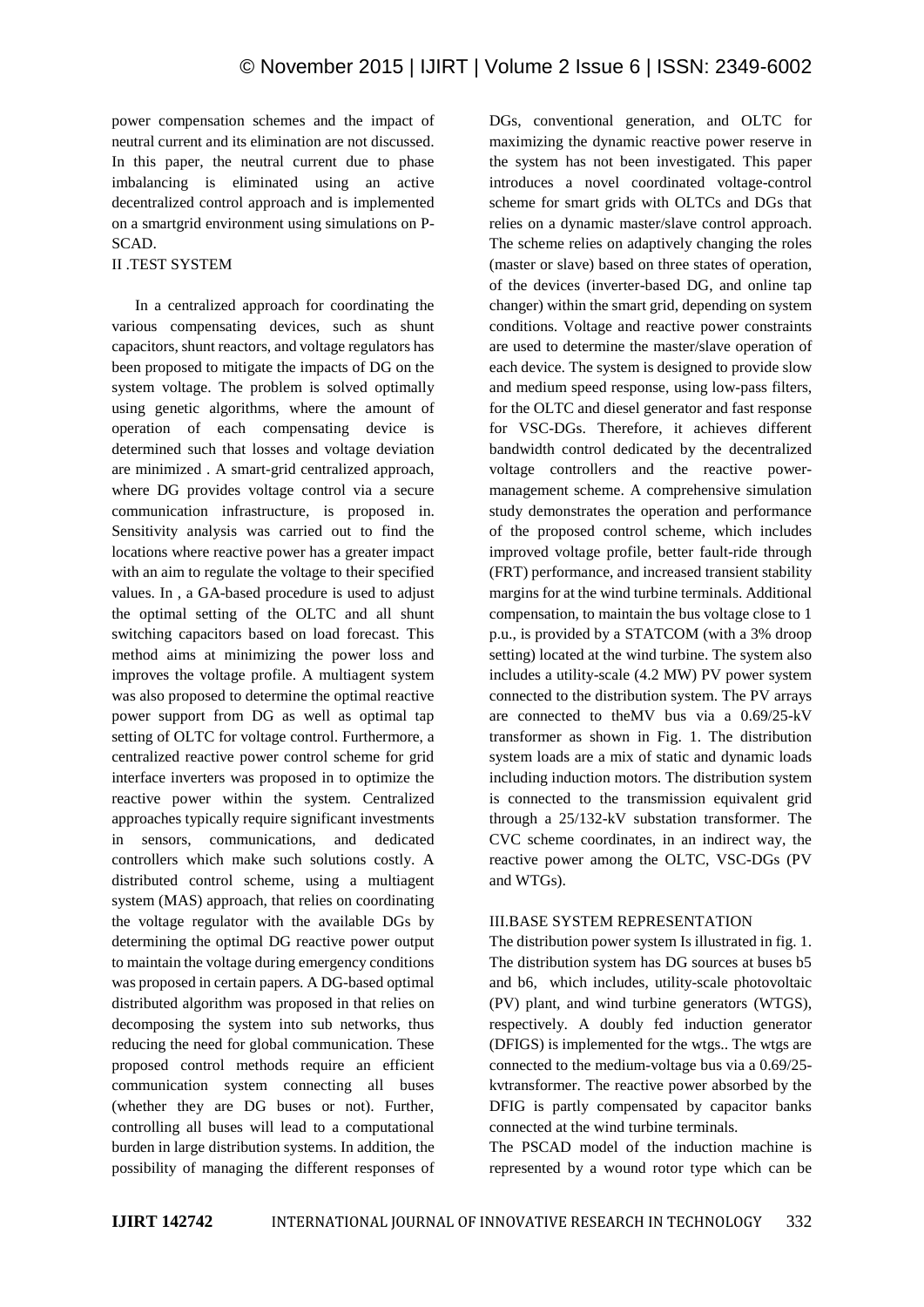power compensation schemes and the impact of neutral current and its elimination are not discussed. In this paper, the neutral current due to phase imbalancing is eliminated using an active decentralized control approach and is implemented on a smartgrid environment using simulations on P- SCAD.

### II .TEST SYSTEM

In a centralized approach for coordinating the various compensating devices, such as shunt capacitors, shunt reactors, and voltage regulators has been proposed to mitigate the impacts of DG on the system voltage. The problem is solved optimally using genetic algorithms, where the amount of operation of each compensating device is determined such that losses and voltage deviation are minimized . A smart-grid centralized approach, where DG provides voltage control via a secure communication infrastructure, is proposed in. Sensitivity analysis was carried out to find the locations where reactive power has a greater impact with an aim to regulate the voltage to their specified values. In , a GA-based procedure is used to adjust the optimal setting of the OLTC and all shunt switching capacitors based on load forecast. This method aims at minimizing the power loss and improves the voltage profile. A multiagent system was also proposed to determine the optimal reactive power support from DG as well as optimal tap setting of OLTC for voltage control. Furthermore, a centralized reactive power control scheme for grid interface inverters was proposed in to optimize the reactive power within the system. Centralized approaches typically require significant investments in sensors, communications, and dedicated controllers which make such solutions costly. A distributed control scheme, using a multiagent system (MAS) approach, that relies on coordinating the voltage regulator with the available DGs by determining the optimal DG reactive power output to maintain the voltage during emergency conditions was proposed in certain papers. A DG-based optimal distributed algorithm was proposed in that relies on decomposing the system into sub networks, thus reducing the need for global communication. These proposed control methods require an efficient communication system connecting all buses (whether they are DG buses or not). Further, controlling all buses will lead to a computational burden in large distribution systems. In addition, the possibility of managing the different responses of

DGs, conventional generation, and OLTC for maximizing the dynamic reactive power reserve in the system has not been investigated. This paper introduces a novel coordinated voltage-control scheme for smart grids with OLTCs and DGs that relies on a dynamic master/slave control approach. The scheme relies on adaptively changing the roles (master or slave) based on three states of operation, of the devices (inverter-based DG, and online tap changer) within the smart grid, depending on system conditions. Voltage and reactive power constraints are used to determine the master/slave operation of each device. The system is designed to provide slow and medium speed response, using low-pass filters, for the OLTC and diesel generator and fast response for VSC-DGs. Therefore, it achieves different bandwidth control dedicated by the decentralized voltage controllers and the reactive power management scheme. A comprehensive simulation study demonstrates the operation and performance of the proposed control scheme, which includes improved voltage profile, better fault-ride through (FRT) performance, and increased transient stability margins for at the wind turbine terminals. Additional compensation, to maintain the bus voltage close to 1 p.u., is provided by a STATCOM (with a 3% droop setting) located at the wind turbine. The system also includes a utility-scale (4.2 MW) PV power system connected to the distribution system. The PV arrays are connected to theMV bus via a 0.69/25-kV transformer as shown in Fig. 1. The distribution system loads are a mix of static and dynamic loads including induction motors. The distribution system is connected to the transmission equivalent grid through a 25/132-kV substation transformer. The CVC scheme coordinates, in an indirect way, the reactive power among the OLTC, VSC-DGs (PV and WTGs).

#### III.BASE SYSTEM REPRESENTATION

The distribution power system Is illustrated in fig. 1. The distribution system has DG sources at buses b5 and b6, which includes, utility-scale photovoltaic (PV) plant, and wind turbine generators (WTGS), respectively. A doubly fed induction generator (DFIGS) is implemented for the wtgs.. The wtgs are connected to the medium-voltage bus via a 0.69/25 kvtransformer. The reactive power absorbed by the DFIG is partly compensated by capacitor banks connected at the wind turbine terminals.

The PSCAD model of the induction machine is represented by a wound rotor type which can be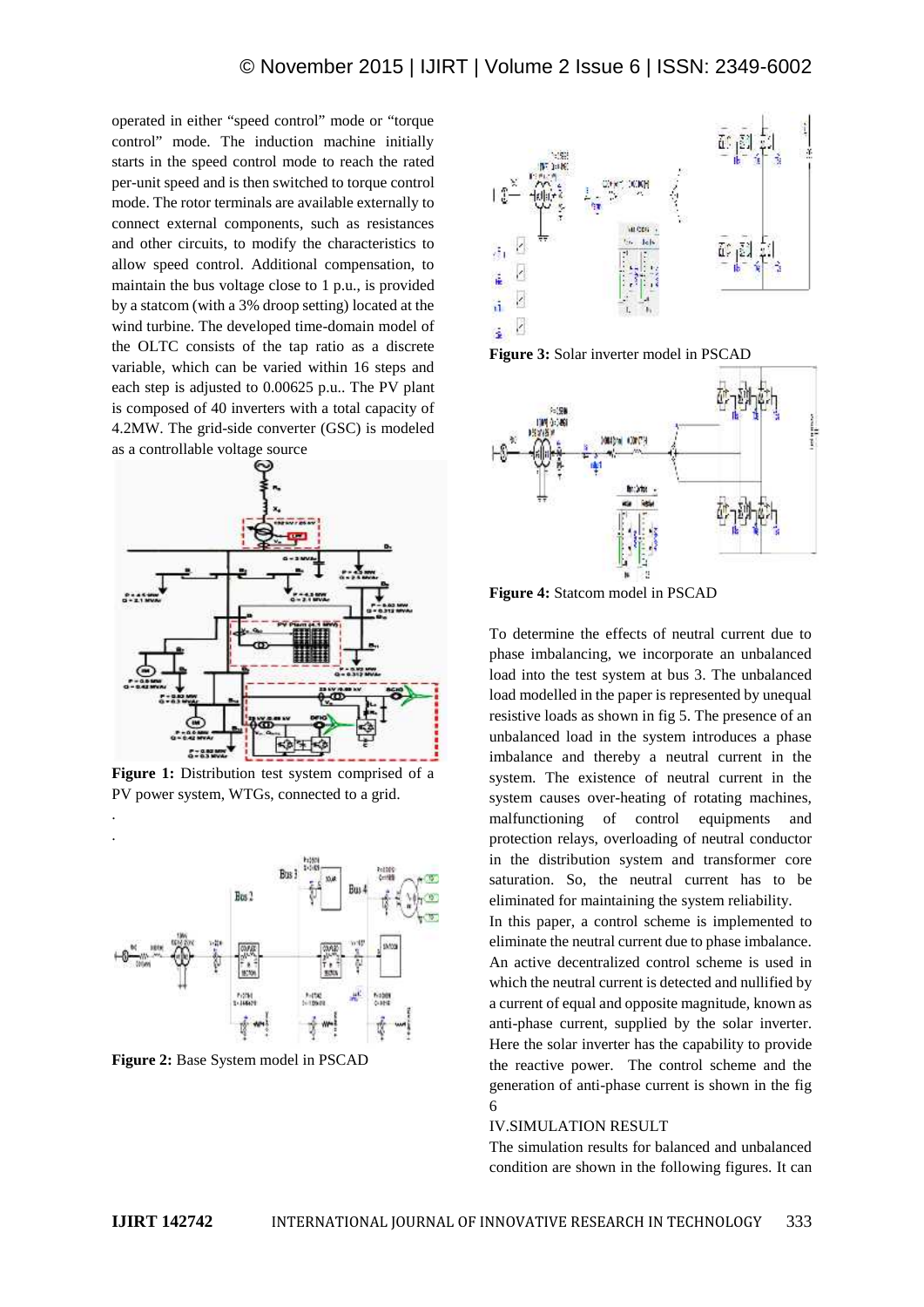operated in either "speed control" mode or "torque control" mode. The induction machine initially starts in the speed control mode to reach the rated per-unit speed and is then switched to torque control mode. The rotor terminals are available externally to connect external components, such as resistances and other circuits, to modify the characteristics to allow speed control. Additional compensation, to maintain the bus voltage close to 1 p.u., is provided by a statcom (with a 3% droop setting) located at the wind turbine. The developed time-domain model of the OLTC consists of the tap ratio as a discrete variable, which can be varied within 16 steps and each step is adjusted to 0.00625 p.u.. The PV plant is composed of 40 inverters with a total capacity of 4.2MW. The grid-side converter (GSC) is modeled as a controllable voltage source



**Figure 1:** Distribution test system comprised of a PV power system, WTGs, connected to a grid.



**Figure 2:** Base System model in PSCAD



**Figure 3:** Solar inverter model in PSCAD



**Figure 4:** Statcom model in PSCAD

To determine the effects of neutral current due to phase imbalancing, we incorporate an unbalanced load into the test system at bus 3. The unbalanced load modelled in the paper is represented by unequal resistive loads as shown in fig 5. The presence of an unbalanced load in the system introduces a phase imbalance and thereby a neutral current in the system. The existence of neutral current in the system causes over-heating of rotating machines, malfunctioning of control equipments and protection relays, overloading of neutral conductor in the distribution system and transformer core saturation. So, the neutral current has to be eliminated for maintaining the system reliability.

In this paper, a control scheme is implemented to eliminate the neutral current due to phase imbalance. An active decentralized control scheme is used in which the neutral current is detected and nullified by a current of equal and opposite magnitude, known as anti-phase current, supplied by the solar inverter. Here the solar inverter has the capability to provide the reactive power. The control scheme and the generation of anti-phase current is shown in the fig 6

#### IV.SIMULATION RESULT

The simulation results for balanced and unbalanced condition are shown in the following figures. It can

. .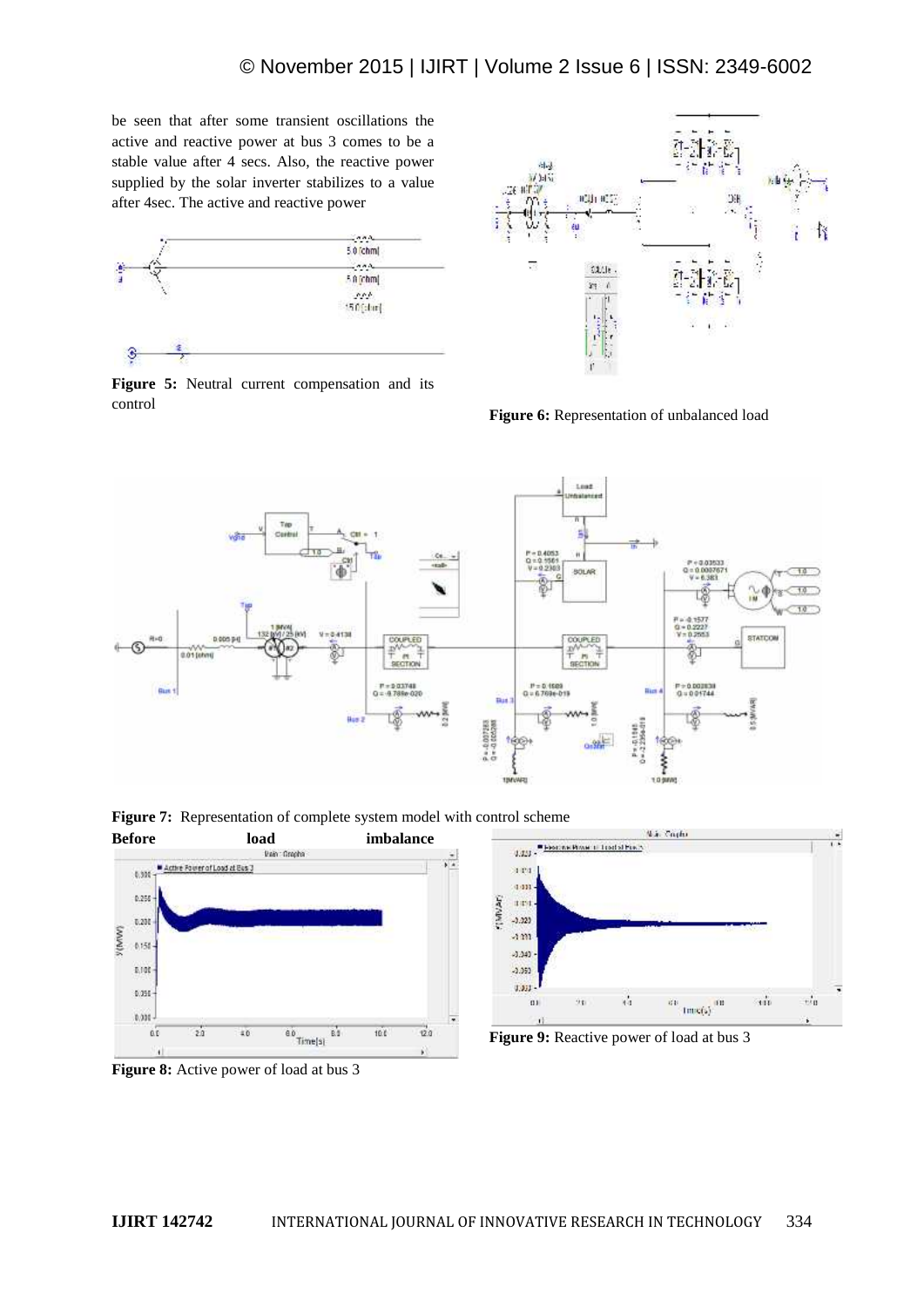be seen that after some transient oscillations the active and reactive power at bus 3 comes to be a stable value after 4 secs. Also, the reactive power supplied by the solar inverter stabilizes to a value after 4sec. The active and reactive power





**Figure 5:** Neutral current compensation and its control **Figure 6:** Representation of unbalanced load











**Figure 9:** Reactive power of load at bus 3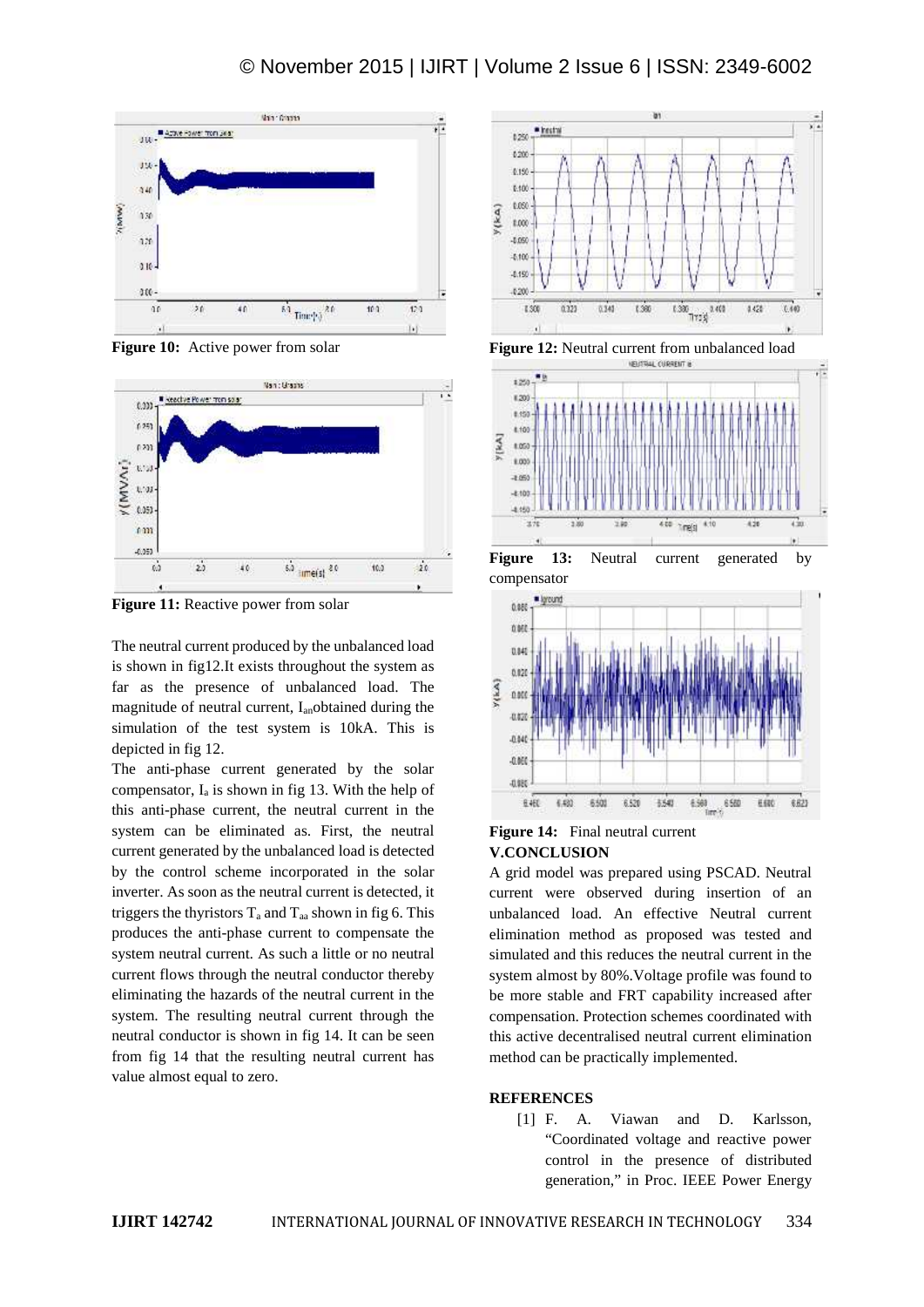

**Figure 10:** Active power from solar



**Figure 11:** Reactive power from solar

The neutral current produced by the unbalanced load is shown in fig12.It exists throughout the system as far as the presence of unbalanced load. The magnitude of neutral current, Ianobtained during the simulation of the test system is 10kA. This is depicted in fig 12.

The anti-phase current generated by the solar compensator,  $I_a$  is shown in fig 13. With the help of this anti-phase current, the neutral current in the system can be eliminated as. First, the neutral current generated by the unbalanced load is detected by the control scheme incorporated in the solar inverter. As soon as the neutral current is detected, it triggers the thyristors  $T_a$  and  $T_{aa}$  shown in fig 6. This produces the anti-phase current to compensate the system neutral current. As such a little or no neutral current flows through the neutral conductor thereby eliminating the hazards of the neutral current in the system. The resulting neutral current through the neutral conductor is shown in fig 14. It can be seen from fig 14 that the resulting neutral current has value almost equal to zero.



**Figure 12:** Neutral current from unbalanced load





#### **Figure 14:** Final neutral current **V.CONCLUSION**

A grid model was prepared using PSCAD. Neutral current were observed during insertion of an unbalanced load. An effective Neutral current elimination method as proposed was tested and simulated and this reduces the neutral current in the system almost by 80%.Voltage profile was found to be more stable and FRT capability increased after compensation. Protection schemes coordinated with this active decentralised neutral current elimination method can be practically implemented.

#### **REFERENCES**

[1] F. A. Viawan and D. Karlsson, "Coordinated voltage and reactive power control in the presence of distributed generation," in Proc. IEEE Power Energy